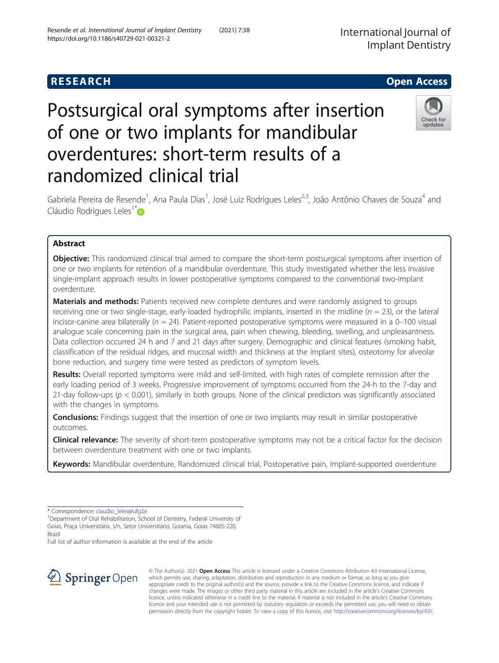# Postsurgical oral symptoms after insertion of one or two implants for mandibular overdentures: short-term results of a randomized clinical trial

Gabriela Pereira de Resende<sup>1</sup>, Ana Paula Dias<sup>1</sup>, José Luiz Rodrigues Leles<sup>2,3</sup>, João Antônio Chaves de Souza<sup>4</sup> and Cláudio Rodrigues Leles<sup>1\*</sup>

# Abstract

**Objective:** This randomized clinical trial aimed to compare the short-term postsurgical symptoms after insertion of one or two implants for retention of a mandibular overdenture. This study investigated whether the less invasive single-implant approach results in lower postoperative symptoms compared to the conventional two-implant overdenture.

Materials and methods: Patients received new complete dentures and were randomly assigned to groups receiving one or two single-stage, early-loaded hydrophilic implants, inserted in the midline ( $n = 23$ ), or the lateral incisor-canine area bilaterally ( $n = 24$ ). Patient-reported postoperative symptoms were measured in a 0–100 visual analogue scale concerning pain in the surgical area, pain when chewing, bleeding, swelling, and unpleasantness. Data collection occurred 24 h and 7 and 21 days after surgery. Demographic and clinical features (smoking habit, classification of the residual ridges, and mucosal width and thickness at the implant sites), osteotomy for alveolar bone reduction, and surgery time were tested as predictors of symptom levels.

Results: Overall reported symptoms were mild and self-limited, with high rates of complete remission after the early loading period of 3 weeks. Progressive improvement of symptoms occurred from the 24-h to the 7-day and 21-day follow-ups ( $p < 0.001$ ), similarly in both groups. None of the clinical predictors was significantly associated with the changes in symptoms.

**Conclusions:** Findings suggest that the insertion of one or two implants may result in similar postoperative outcomes.

**Clinical relevance:** The severity of short-term postoperative symptoms may not be a critical factor for the decision between overdenture treatment with one or two implants.

Keywords: Mandibular overdenture, Randomized clinical trial, Postoperative pain, Implant-supported overdenture

Full list of author information is available at the end of the article



© The Author(s). 2021 Open Access This article is licensed under a Creative Commons Attribution 4.0 International License, which permits use, sharing, adaptation, distribution and reproduction in any medium or format, as long as you give appropriate credit to the original author(s) and the source, provide a link to the Creative Commons licence, and indicate if changes were made. The images or other third party material in this article are included in the article's Creative Commons licence, unless indicated otherwise in a credit line to the material. If material is not included in the article's Creative Commons licence and your intended use is not permitted by statutory regulation or exceeds the permitted use, you will need to obtain permission directly from the copyright holder. To view a copy of this licence, visit <http://creativecommons.org/licenses/by/4.0/>.



<sup>\*</sup> Correspondence: [claudio\\_leles@ufg.br](mailto:claudio_leles@ufg.br) <sup>1</sup>

<sup>&</sup>lt;sup>1</sup> Department of Oral Rehabilitation, School of Dentistry, Federal University of Goias, Praça Universitária, s/n, Setor Universitário, Goiania, Goias 74605-220, Brazil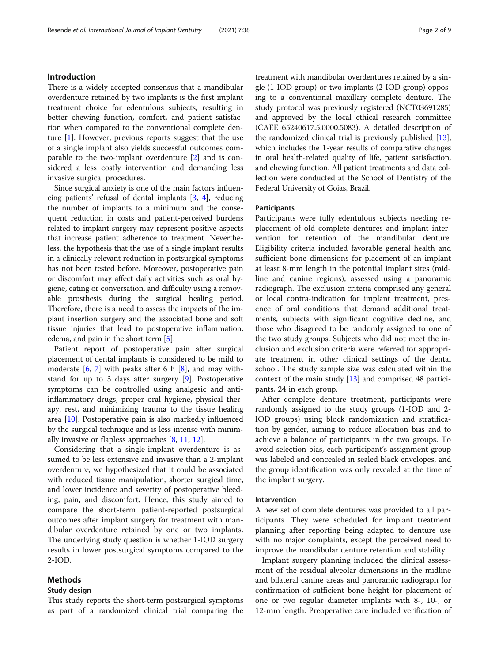## Introduction

There is a widely accepted consensus that a mandibular overdenture retained by two implants is the first implant treatment choice for edentulous subjects, resulting in better chewing function, comfort, and patient satisfaction when compared to the conventional complete denture [\[1\]](#page-8-0). However, previous reports suggest that the use of a single implant also yields successful outcomes comparable to the two-implant overdenture [\[2](#page-8-0)] and is considered a less costly intervention and demanding less invasive surgical procedures.

Since surgical anxiety is one of the main factors influencing patients' refusal of dental implants [[3,](#page-8-0) [4\]](#page-8-0), reducing the number of implants to a minimum and the consequent reduction in costs and patient-perceived burdens related to implant surgery may represent positive aspects that increase patient adherence to treatment. Nevertheless, the hypothesis that the use of a single implant results in a clinically relevant reduction in postsurgical symptoms has not been tested before. Moreover, postoperative pain or discomfort may affect daily activities such as oral hygiene, eating or conversation, and difficulty using a removable prosthesis during the surgical healing period. Therefore, there is a need to assess the impacts of the implant insertion surgery and the associated bone and soft tissue injuries that lead to postoperative inflammation, edema, and pain in the short term [[5](#page-8-0)].

Patient report of postoperative pain after surgical placement of dental implants is considered to be mild to moderate  $[6, 7]$  $[6, 7]$  $[6, 7]$  with peaks after 6 h  $[8]$  $[8]$ , and may withstand for up to 3 days after surgery [[9\]](#page-8-0). Postoperative symptoms can be controlled using analgesic and antiinflammatory drugs, proper oral hygiene, physical therapy, rest, and minimizing trauma to the tissue healing area [\[10\]](#page-8-0). Postoperative pain is also markedly influenced by the surgical technique and is less intense with minimally invasive or flapless approaches [[8,](#page-8-0) [11,](#page-8-0) [12\]](#page-8-0).

Considering that a single-implant overdenture is assumed to be less extensive and invasive than a 2-implant overdenture, we hypothesized that it could be associated with reduced tissue manipulation, shorter surgical time, and lower incidence and severity of postoperative bleeding, pain, and discomfort. Hence, this study aimed to compare the short-term patient-reported postsurgical outcomes after implant surgery for treatment with mandibular overdenture retained by one or two implants. The underlying study question is whether 1-IOD surgery results in lower postsurgical symptoms compared to the 2-IOD.

## Methods

## Study design

This study reports the short-term postsurgical symptoms as part of a randomized clinical trial comparing the treatment with mandibular overdentures retained by a single (1-IOD group) or two implants (2-IOD group) opposing to a conventional maxillary complete denture. The study protocol was previously registered (NCT03691285) and approved by the local ethical research committee (CAEE 65240617.5.0000.5083). A detailed description of the randomized clinical trial is previously published [[13](#page-8-0)], which includes the 1-year results of comparative changes in oral health-related quality of life, patient satisfaction, and chewing function. All patient treatments and data collection were conducted at the School of Dentistry of the Federal University of Goias, Brazil.

## Participants

Participants were fully edentulous subjects needing replacement of old complete dentures and implant intervention for retention of the mandibular denture. Eligibility criteria included favorable general health and sufficient bone dimensions for placement of an implant at least 8-mm length in the potential implant sites (midline and canine regions), assessed using a panoramic radiograph. The exclusion criteria comprised any general or local contra-indication for implant treatment, presence of oral conditions that demand additional treatments, subjects with significant cognitive decline, and those who disagreed to be randomly assigned to one of the two study groups. Subjects who did not meet the inclusion and exclusion criteria were referred for appropriate treatment in other clinical settings of the dental school. The study sample size was calculated within the context of the main study [[13](#page-8-0)] and comprised 48 participants, 24 in each group.

After complete denture treatment, participants were randomly assigned to the study groups (1-IOD and 2- IOD groups) using block randomization and stratification by gender, aiming to reduce allocation bias and to achieve a balance of participants in the two groups. To avoid selection bias, each participant's assignment group was labeled and concealed in sealed black envelopes, and the group identification was only revealed at the time of the implant surgery.

#### Intervention

A new set of complete dentures was provided to all participants. They were scheduled for implant treatment planning after reporting being adapted to denture use with no major complaints, except the perceived need to improve the mandibular denture retention and stability.

Implant surgery planning included the clinical assessment of the residual alveolar dimensions in the midline and bilateral canine areas and panoramic radiograph for confirmation of sufficient bone height for placement of one or two regular diameter implants with 8-, 10-, or 12-mm length. Preoperative care included verification of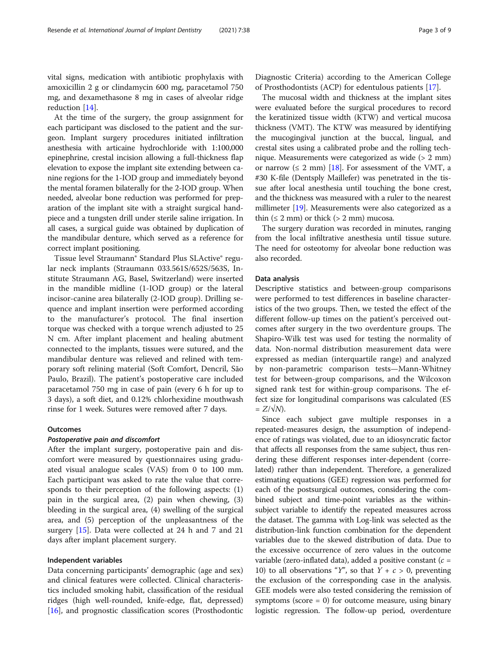vital signs, medication with antibiotic prophylaxis with amoxicillin 2 g or clindamycin 600 mg, paracetamol 750 mg, and dexamethasone 8 mg in cases of alveolar ridge reduction [\[14\]](#page-8-0).

At the time of the surgery, the group assignment for each participant was disclosed to the patient and the surgeon. Implant surgery procedures initiated infiltration anesthesia with articaine hydrochloride with 1:100,000 epinephrine, crestal incision allowing a full-thickness flap elevation to expose the implant site extending between canine regions for the 1-IOD group and immediately beyond the mental foramen bilaterally for the 2-IOD group. When needed, alveolar bone reduction was performed for preparation of the implant site with a straight surgical handpiece and a tungsten drill under sterile saline irrigation. In all cases, a surgical guide was obtained by duplication of the mandibular denture, which served as a reference for correct implant positioning.

Tissue level Straumann® Standard Plus SLActive® regular neck implants (Straumann 033.561S/652S/563S, Institute Straumann AG, Basel, Switzerland) were inserted in the mandible midline (1-IOD group) or the lateral incisor-canine area bilaterally (2-IOD group). Drilling sequence and implant insertion were performed according to the manufacturer's protocol. The final insertion torque was checked with a torque wrench adjusted to 25 N cm. After implant placement and healing abutment connected to the implants, tissues were sutured, and the mandibular denture was relieved and relined with temporary soft relining material (Soft Comfort, Dencril, São Paulo, Brazil). The patient's postoperative care included paracetamol 750 mg in case of pain (every 6 h for up to 3 days), a soft diet, and 0.12% chlorhexidine mouthwash rinse for 1 week. Sutures were removed after 7 days.

## **Outcomes**

#### Postoperative pain and discomfort

After the implant surgery, postoperative pain and discomfort were measured by questionnaires using graduated visual analogue scales (VAS) from 0 to 100 mm. Each participant was asked to rate the value that corresponds to their perception of the following aspects: (1) pain in the surgical area, (2) pain when chewing, (3) bleeding in the surgical area, (4) swelling of the surgical area, and (5) perception of the unpleasantness of the surgery [[15\]](#page-8-0). Data were collected at 24 h and 7 and 21 days after implant placement surgery.

## Independent variables

Data concerning participants' demographic (age and sex) and clinical features were collected. Clinical characteristics included smoking habit, classification of the residual ridges (high well-rounded, knife-edge, flat, depressed) [[16\]](#page-8-0), and prognostic classification scores (Prosthodontic

Diagnostic Criteria) according to the American College of Prosthodontists (ACP) for edentulous patients [\[17](#page-8-0)].

The mucosal width and thickness at the implant sites were evaluated before the surgical procedures to record the keratinized tissue width (KTW) and vertical mucosa thickness (VMT). The KTW was measured by identifying the mucogingival junction at the buccal, lingual, and crestal sites using a calibrated probe and the rolling technique. Measurements were categorized as wide (> 2 mm) or narrow ( $\leq 2$  mm) [\[18](#page-8-0)]. For assessment of the VMT, a #30 K-file (Dentsply Maillefer) was penetrated in the tissue after local anesthesia until touching the bone crest, and the thickness was measured with a ruler to the nearest millimeter [[19](#page-8-0)]. Measurements were also categorized as a thin  $(≤ 2 mm)$  or thick  $(> 2 mm)$  mucosa.

The surgery duration was recorded in minutes, ranging from the local infiltrative anesthesia until tissue suture. The need for osteotomy for alveolar bone reduction was also recorded.

## Data analysis

Descriptive statistics and between-group comparisons were performed to test differences in baseline characteristics of the two groups. Then, we tested the effect of the different follow-up times on the patient's perceived outcomes after surgery in the two overdenture groups. The Shapiro-Wilk test was used for testing the normality of data. Non-normal distribution measurement data were expressed as median (interquartile range) and analyzed by non-parametric comparison tests—Mann-Whitney test for between-group comparisons, and the Wilcoxon signed rank test for within-group comparisons. The effect size for longitudinal comparisons was calculated (ES  $= Z/\sqrt{N}$ .

Since each subject gave multiple responses in a repeated-measures design, the assumption of independence of ratings was violated, due to an idiosyncratic factor that affects all responses from the same subject, thus rendering these different responses inter-dependent (correlated) rather than independent. Therefore, a generalized estimating equations (GEE) regression was performed for each of the postsurgical outcomes, considering the combined subject and time-point variables as the withinsubject variable to identify the repeated measures across the dataset. The gamma with Log-link was selected as the distribution-link function combination for the dependent variables due to the skewed distribution of data. Due to the excessive occurrence of zero values in the outcome variable (zero-inflated data), added a positive constant ( $c =$ 10) to all observations "Y", so that  $Y + c > 0$ , preventing the exclusion of the corresponding case in the analysis. GEE models were also tested considering the remission of symptoms (score  $= 0$ ) for outcome measure, using binary logistic regression. The follow-up period, overdenture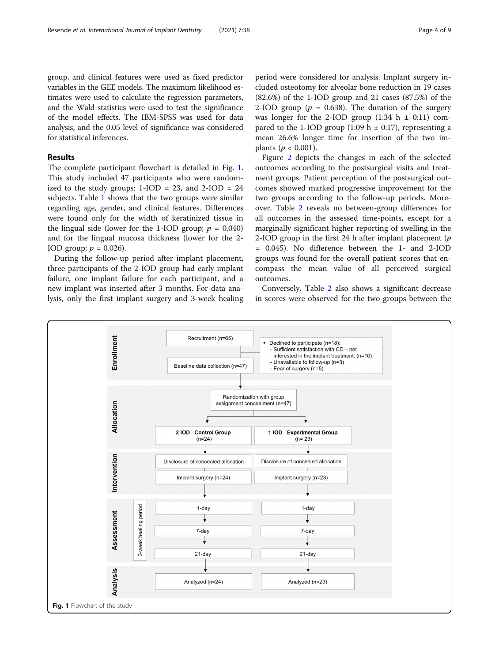group, and clinical features were used as fixed predictor variables in the GEE models. The maximum likelihood estimates were used to calculate the regression parameters, and the Wald statistics were used to test the significance of the model effects. The IBM-SPSS was used for data analysis, and the 0.05 level of significance was considered for statistical inferences.

## Results

The complete participant flowchart is detailed in Fig. 1. This study included 47 participants who were randomized to the study groups:  $1-IOD = 23$ , and  $2-IOD = 24$ subjects. Table [1](#page-4-0) shows that the two groups were similar regarding age, gender, and clinical features. Differences were found only for the width of keratinized tissue in the lingual side (lower for the 1-IOD group;  $p = 0.040$ ) and for the lingual mucosa thickness (lower for the 2- IOD group;  $p = 0.026$ ).

During the follow-up period after implant placement, three participants of the 2-IOD group had early implant failure, one implant failure for each participant, and a new implant was inserted after 3 months. For data analysis, only the first implant surgery and 3-week healing

period were considered for analysis. Implant surgery included osteotomy for alveolar bone reduction in 19 cases (82.6%) of the 1-IOD group and 21 cases (87.5%) of the 2-IOD group ( $p = 0.638$ ). The duration of the surgery was longer for the 2-IOD group  $(1:34 \text{ h } \pm 0:11)$  compared to the 1-IOD group (1:09 h  $\pm$  0:17), representing a mean 26.6% longer time for insertion of the two implants ( $p < 0.001$ ).

Figure [2](#page-5-0) depicts the changes in each of the selected outcomes according to the postsurgical visits and treatment groups. Patient perception of the postsurgical outcomes showed marked progressive improvement for the two groups according to the follow-up periods. Moreover, Table [2](#page-5-0) reveals no between-group differences for all outcomes in the assessed time-points, except for a marginally significant higher reporting of swelling in the 2-IOD group in the first 24 h after implant placement  $(p)$ = 0.045). No difference between the 1- and 2-IOD groups was found for the overall patient scores that encompass the mean value of all perceived surgical outcomes.

Conversely, Table [2](#page-5-0) also shows a significant decrease in scores were observed for the two groups between the

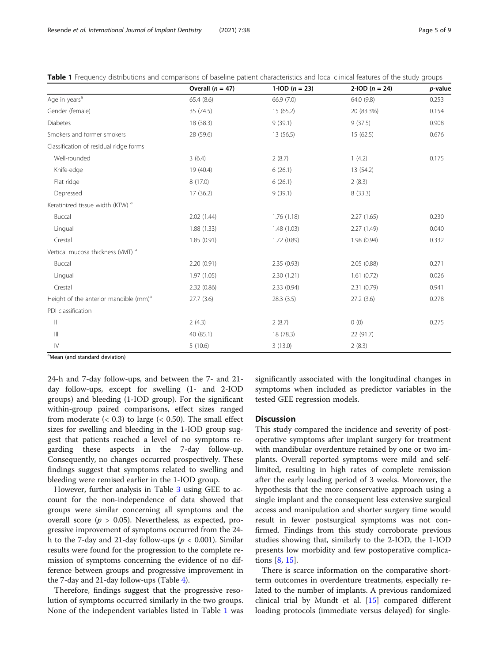|                                                   | Overall $(n = 47)$ | 1-IOD $(n = 23)$ | 2-IOD $(n = 24)$ | p-value |
|---------------------------------------------------|--------------------|------------------|------------------|---------|
| Age in years <sup>a</sup>                         | 65.4 (8.6)         | 66.9 (7.0)       | 64.0 (9.8)       | 0.253   |
| Gender (female)                                   | 35 (74.5)          | 15 (65.2)        | 20 (83.3%)       | 0.154   |
| Diabetes                                          | 18 (38.3)          | 9(39.1)          | 9(37.5)          | 0.908   |
| Smokers and former smokers                        | 28 (59.6)          | 13 (56.5)        | 15 (62.5)        | 0.676   |
| Classification of residual ridge forms            |                    |                  |                  |         |
| Well-rounded                                      | 3(6.4)             | 2(8.7)           | 1(4.2)           | 0.175   |
| Knife-edge                                        | 19 (40.4)          | 6(26.1)          | 13 (54.2)        |         |
| Flat ridge                                        | 8(17.0)            | 6(26.1)          | 2(8.3)           |         |
| Depressed                                         | 17(36.2)           | 9(39.1)          | 8(33.3)          |         |
| Keratinized tissue width (KTW) <sup>a</sup>       |                    |                  |                  |         |
| Buccal                                            | 2.02(1.44)         | 1.76(1.18)       | 2.27(1.65)       | 0.230   |
| Lingual                                           | 1.88(1.33)         | 1.48(1.03)       | 2.27(1.49)       | 0.040   |
| Crestal                                           | 1.85(0.91)         | 1.72(0.89)       | 1.98 (0.94)      | 0.332   |
| Vertical mucosa thickness (VMT) <sup>a</sup>      |                    |                  |                  |         |
| Buccal                                            | 2.20(0.91)         | 2.35(0.93)       | 2.05(0.88)       | 0.271   |
| Lingual                                           | 1.97(1.05)         | 2.30(1.21)       | 1.61(0.72)       | 0.026   |
| Crestal                                           | 2.32(0.86)         | 2.33(0.94)       | 2.31(0.79)       | 0.941   |
| Height of the anterior mandible (mm) <sup>a</sup> | 27.7(3.6)          | 28.3(3.5)        | 27.2(3.6)        | 0.278   |
| PDI classification                                |                    |                  |                  |         |
| $\mathbf{  }$                                     | 2(4.3)             | 2(8.7)           | 0(0)             | 0.275   |
| $\mathop{\rm III}$                                | 40 (85.1)          | 18 (78.3)        | 22 (91.7)        |         |
| $\mathsf{IV}$                                     | 5(10.6)            | 3(13.0)          | 2(8.3)           |         |

<span id="page-4-0"></span>Table 1 Frequency distributions and comparisons of baseline patient characteristics and local clinical features of the study groups

<sup>a</sup>Mean (and standard deviation)

24-h and 7-day follow-ups, and between the 7- and 21 day follow-ups, except for swelling (1- and 2-IOD groups) and bleeding (1-IOD group). For the significant within-group paired comparisons, effect sizes ranged from moderate  $(< 0.3)$  to large  $(< 0.50)$ . The small effect sizes for swelling and bleeding in the 1-IOD group suggest that patients reached a level of no symptoms regarding these aspects in the 7-day follow-up. Consequently, no changes occurred prospectively. These findings suggest that symptoms related to swelling and bleeding were remised earlier in the 1-IOD group.

However, further analysis in Table [3](#page-6-0) using GEE to account for the non-independence of data showed that groups were similar concerning all symptoms and the overall score ( $p > 0.05$ ). Nevertheless, as expected, progressive improvement of symptoms occurred from the 24 h to the 7-day and 21-day follow-ups ( $p < 0.001$ ). Similar results were found for the progression to the complete remission of symptoms concerning the evidence of no difference between groups and progressive improvement in the 7-day and 21-day follow-ups (Table  $4$ ).

Therefore, findings suggest that the progressive resolution of symptoms occurred similarly in the two groups. None of the independent variables listed in Table 1 was

significantly associated with the longitudinal changes in symptoms when included as predictor variables in the tested GEE regression models.

#### **Discussion**

This study compared the incidence and severity of postoperative symptoms after implant surgery for treatment with mandibular overdenture retained by one or two implants. Overall reported symptoms were mild and selflimited, resulting in high rates of complete remission after the early loading period of 3 weeks. Moreover, the hypothesis that the more conservative approach using a single implant and the consequent less extensive surgical access and manipulation and shorter surgery time would result in fewer postsurgical symptoms was not confirmed. Findings from this study corroborate previous studies showing that, similarly to the 2-IOD, the 1-IOD presents low morbidity and few postoperative complications [[8,](#page-8-0) [15\]](#page-8-0).

There is scarce information on the comparative shortterm outcomes in overdenture treatments, especially related to the number of implants. A previous randomized clinical trial by Mundt et al. [[15\]](#page-8-0) compared different loading protocols (immediate versus delayed) for single-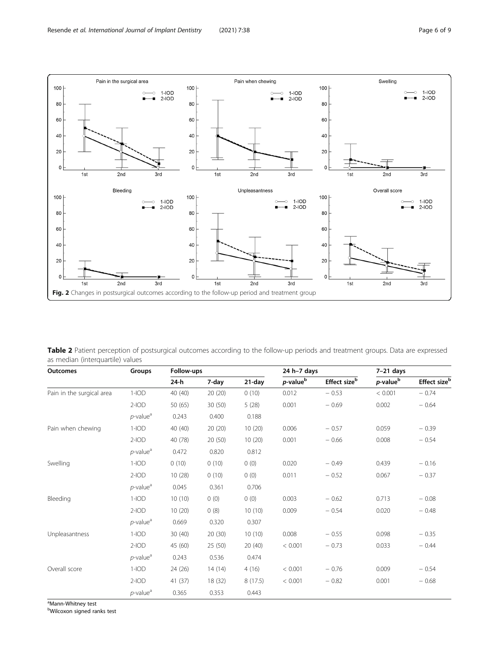<span id="page-5-0"></span>

Table 2 Patient perception of postsurgical outcomes according to the follow-up periods and treatment groups. Data are expressed as median (interquartile) values

| <b>Outcomes</b>           | <b>Groups</b>           | Follow-ups |         |           | $24 h-7 days$        |                          | $7-21$ days           |                          |
|---------------------------|-------------------------|------------|---------|-----------|----------------------|--------------------------|-----------------------|--------------------------|
|                           |                         | 24-h       | 7-day   | $21$ -day | p-value <sup>b</sup> | Effect size <sup>b</sup> | $p$ -value $^{\rm b}$ | Effect size <sup>b</sup> |
| Pain in the surgical area | $1-IOD$                 | 40 (40)    | 20(20)  | 0(10)     | 0.012                | $-0.53$                  | < 0.001               | $-0.74$                  |
|                           | $2$ -IOD                | 50 (65)    | 30(50)  | 5(28)     | 0.001                | $-0.69$                  | 0.002                 | $-0.64$                  |
|                           | $p$ -value <sup>a</sup> | 0.243      | 0.400   | 0.188     |                      |                          |                       |                          |
| Pain when chewing         | $1-IOD$                 | 40 (40)    | 20(20)  | 10(20)    | 0.006                | $-0.57$                  | 0.059                 | $-0.39$                  |
|                           | $2$ -IOD                | 40 (78)    | 20 (50) | 10(20)    | 0.001                | $-0.66$                  | 0.008                 | $-0.54$                  |
|                           | $p$ -value <sup>a</sup> | 0.472      | 0.820   | 0.812     |                      |                          |                       |                          |
| Swelling                  | $1-IOD$                 | 0(10)      | 0(10)   | 0(0)      | 0.020                | $-0.49$                  | 0.439                 | $-0.16$                  |
|                           | $2$ -IOD                | 10(28)     | 0(10)   | 0(0)      | 0.011                | $-0.52$                  | 0.067                 | $-0.37$                  |
|                           | $p$ -value <sup>a</sup> | 0.045      | 0.361   | 0.706     |                      |                          |                       |                          |
| Bleeding                  | $1-IOD$                 | 10(10)     | 0(0)    | 0(0)      | 0.003                | $-0.62$                  | 0.713                 | $-0.08$                  |
|                           | $2$ -IOD                | 10(20)     | 0(8)    | 10(10)    | 0.009                | $-0.54$                  | 0.020                 | $-0.48$                  |
|                           | $p$ -value <sup>a</sup> | 0.669      | 0.320   | 0.307     |                      |                          |                       |                          |
| Unpleasantness            | $1-IOD$                 | 30(40)     | 20(30)  | 10(10)    | 0.008                | $-0.55$                  | 0.098                 | $-0.35$                  |
|                           | $2$ -IOD                | 45 (60)    | 25 (50) | 20(40)    | < 0.001              | $-0.73$                  | 0.033                 | $-0.44$                  |
|                           | $p$ -value <sup>a</sup> | 0.243      | 0.536   | 0.474     |                      |                          |                       |                          |
| Overall score             | $1-IOD$                 | 24(26)     | 14(14)  | 4(16)     | < 0.001              | $-0.76$                  | 0.009                 | $-0.54$                  |
|                           | $2$ -IOD                | 41(37)     | 18 (32) | 8(17.5)   | < 0.001              | $-0.82$                  | 0.001                 | $-0.68$                  |
|                           | $p$ -value <sup>a</sup> | 0.365      | 0.353   | 0.443     |                      |                          |                       |                          |

<sup>a</sup>Mann-Whitney test

b Wilcoxon signed ranks test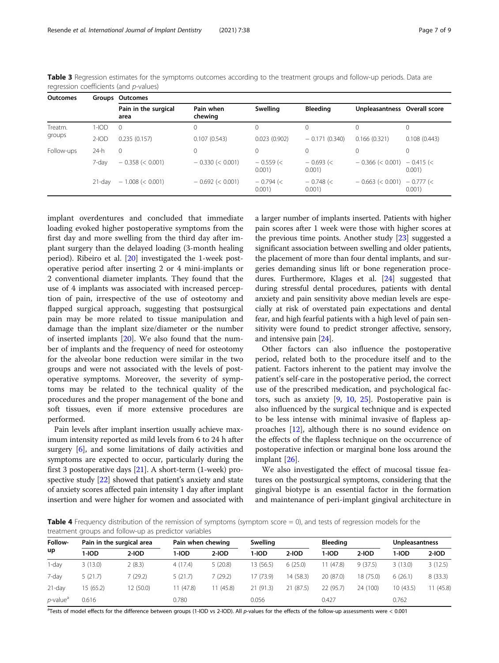| <b>Outcomes</b> |           | Groups Outcomes              |                      |                      |                       |                                   |                  |  |  |
|-----------------|-----------|------------------------------|----------------------|----------------------|-----------------------|-----------------------------------|------------------|--|--|
|                 |           | Pain in the surgical<br>area | Pain when<br>chewing | Swelling             | <b>Bleeding</b>       | Unpleasantness Overall score      |                  |  |  |
| Treatm.         | $1-IOD$   | $\Omega$                     | 0                    |                      | 0                     | $\Omega$                          | $\left( \right)$ |  |  |
| groups          | $2$ -IOD  | 0.235(0.157)                 | 0.107(0.543)         | 0.023(0.902)         | $-0.171(0.340)$       | 0.166(0.321)                      | 0.108(0.443)     |  |  |
| Follow-ups      | $24-h$    | $\Omega$                     | 0                    | 0                    | 0                     | $\Omega$                          | $\Omega$         |  |  |
|                 | 7-day     | $-0.358 \le 0.001$           | $-0.330 \le 0.001$   | $-0.559$ (<<br>0.001 | $-0.693$ (<<br>0.001) | $-0.366 \le 0.001$ $-0.415 \le$   | 0.001)           |  |  |
|                 | $21$ -day | $-1.008 \le 0.001$           | $-0.692 \le 0.001$   | $-0.794$ (<<br>0.001 | $-0.748 <$<br>0.001   | $-0.663 \le 0.001$ ) $-0.777 \le$ | $0.001$ )        |  |  |

<span id="page-6-0"></span>Table 3 Regression estimates for the symptoms outcomes according to the treatment groups and follow-up periods. Data are regression coefficients (and p-values)

implant overdentures and concluded that immediate loading evoked higher postoperative symptoms from the first day and more swelling from the third day after implant surgery than the delayed loading (3-month healing period). Ribeiro et al. [[20\]](#page-8-0) investigated the 1-week postoperative period after inserting 2 or 4 mini-implants or 2 conventional diameter implants. They found that the use of 4 implants was associated with increased perception of pain, irrespective of the use of osteotomy and flapped surgical approach, suggesting that postsurgical pain may be more related to tissue manipulation and damage than the implant size/diameter or the number of inserted implants [\[20\]](#page-8-0). We also found that the number of implants and the frequency of need for osteotomy for the alveolar bone reduction were similar in the two groups and were not associated with the levels of postoperative symptoms. Moreover, the severity of symptoms may be related to the technical quality of the procedures and the proper management of the bone and soft tissues, even if more extensive procedures are performed.

Pain levels after implant insertion usually achieve maximum intensity reported as mild levels from 6 to 24 h after surgery [[6\]](#page-8-0), and some limitations of daily activities and symptoms are expected to occur, particularly during the first 3 postoperative days [\[21](#page-8-0)]. A short-term (1-week) prospective study [[22\]](#page-8-0) showed that patient's anxiety and state of anxiety scores affected pain intensity 1 day after implant insertion and were higher for women and associated with a larger number of implants inserted. Patients with higher pain scores after 1 week were those with higher scores at the previous time points. Another study [[23](#page-8-0)] suggested a significant association between swelling and older patients, the placement of more than four dental implants, and surgeries demanding sinus lift or bone regeneration procedures. Furthermore, Klages et al. [[24](#page-8-0)] suggested that during stressful dental procedures, patients with dental anxiety and pain sensitivity above median levels are especially at risk of overstated pain expectations and dental fear, and high fearful patients with a high level of pain sensitivity were found to predict stronger affective, sensory, and intensive pain [\[24\]](#page-8-0).

Other factors can also influence the postoperative period, related both to the procedure itself and to the patient. Factors inherent to the patient may involve the patient's self-care in the postoperative period, the correct use of the prescribed medication, and psychological factors, such as anxiety [\[9](#page-8-0), [10,](#page-8-0) [25\]](#page-8-0). Postoperative pain is also influenced by the surgical technique and is expected to be less intense with minimal invasive of flapless approaches [[12](#page-8-0)], although there is no sound evidence on the effects of the flapless technique on the occurrence of postoperative infection or marginal bone loss around the implant [\[26](#page-8-0)].

We also investigated the effect of mucosal tissue features on the postsurgical symptoms, considering that the gingival biotype is an essential factor in the formation and maintenance of peri-implant gingival architecture in

**Table 4** Frequency distribution of the remission of symptoms (symptom score  $= 0$ ), and tests of regression models for the treatment groups and follow-up as predictor variables

| Follow-<br>up           | Pain in the surgical area |           |           | Pain when chewing |           | Swelling  |           | <b>Bleeding</b> |           | Unpleasantness |  |
|-------------------------|---------------------------|-----------|-----------|-------------------|-----------|-----------|-----------|-----------------|-----------|----------------|--|
|                         | 1-IOD                     | $2-IOD$   | 1-IOD     | $2-IOD$           | 1-IOD     | $2-IOD$   | $1-IOD$   | $2-IOD$         | 1-IOD     | $2-IOD$        |  |
| 1-day                   | 3(13.0)                   | 2(8.3)    | 4(17.4)   | 5(20.8)           | 13 (56.5) | 6(25.0)   | 1 (47.8)  | 9(37.5)         | 3(13.0)   | 3(12.5)        |  |
| 7-day                   | 5(21.7)                   | 7 (29.2)  | 5(21.7)   | 7 (29.2)          | 17 (73.9) | 14 (58.3) | 20 (87.0) | 18 (75.0)       | 6(26.1)   | 8(33.3)        |  |
| $21$ -day               | 15 (65.2)                 | 12 (50.0) | 11 (47.8) | 1(45.8)           | 21(91.3)  | 21 (87.5) | 22 (95.7) | 24 (100)        | 10 (43.5) | 11 (45.8)      |  |
| $p$ -value <sup>a</sup> | 0.616                     |           | 0.780     |                   | 0.056     |           | 0.427     |                 | 0.762     |                |  |

a Tests of model effects for the difference between groups (1-IOD vs 2-IOD). All p-values for the effects of the follow-up assessments were < 0.001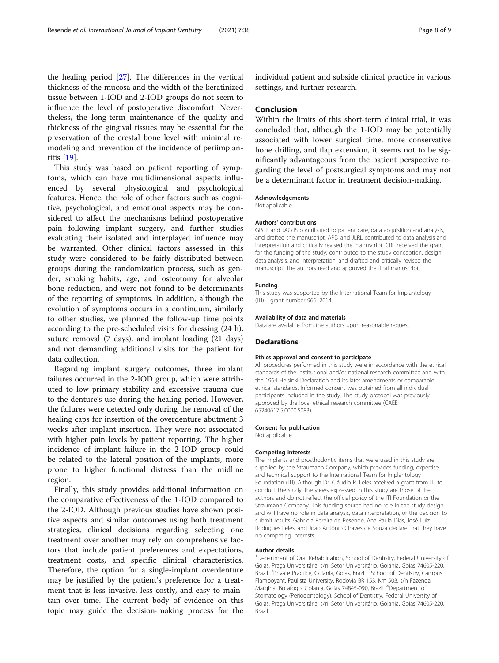the healing period [[27\]](#page-8-0). The differences in the vertical thickness of the mucosa and the width of the keratinized tissue between 1-IOD and 2-IOD groups do not seem to influence the level of postoperative discomfort. Nevertheless, the long-term maintenance of the quality and thickness of the gingival tissues may be essential for the preservation of the crestal bone level with minimal remodeling and prevention of the incidence of periimplantitis [\[19\]](#page-8-0).

This study was based on patient reporting of symptoms, which can have multidimensional aspects influenced by several physiological and psychological features. Hence, the role of other factors such as cognitive, psychological, and emotional aspects may be considered to affect the mechanisms behind postoperative pain following implant surgery, and further studies evaluating their isolated and interplayed influence may be warranted. Other clinical factors assessed in this study were considered to be fairly distributed between groups during the randomization process, such as gender, smoking habits, age, and osteotomy for alveolar bone reduction, and were not found to be determinants of the reporting of symptoms. In addition, although the evolution of symptoms occurs in a continuum, similarly to other studies, we planned the follow-up time points according to the pre-scheduled visits for dressing (24 h), suture removal (7 days), and implant loading (21 days) and not demanding additional visits for the patient for data collection.

Regarding implant surgery outcomes, three implant failures occurred in the 2-IOD group, which were attributed to low primary stability and excessive trauma due to the denture's use during the healing period. However, the failures were detected only during the removal of the healing caps for insertion of the overdenture abutment 3 weeks after implant insertion. They were not associated with higher pain levels by patient reporting. The higher incidence of implant failure in the 2-IOD group could be related to the lateral position of the implants, more prone to higher functional distress than the midline region.

Finally, this study provides additional information on the comparative effectiveness of the 1-IOD compared to the 2-IOD. Although previous studies have shown positive aspects and similar outcomes using both treatment strategies, clinical decisions regarding selecting one treatment over another may rely on comprehensive factors that include patient preferences and expectations, treatment costs, and specific clinical characteristics. Therefore, the option for a single-implant overdenture may be justified by the patient's preference for a treatment that is less invasive, less costly, and easy to maintain over time. The current body of evidence on this topic may guide the decision-making process for the

individual patient and subside clinical practice in various settings, and further research.

## Conclusion

Within the limits of this short-term clinical trial, it was concluded that, although the 1-IOD may be potentially associated with lower surgical time, more conservative bone drilling, and flap extension, it seems not to be significantly advantageous from the patient perspective regarding the level of postsurgical symptoms and may not be a determinant factor in treatment decision-making.

#### Acknowledgements

Not applicable.

#### Authors' contributions

GPdR and JACdS contributed to patient care, data acquisition and analysis, and drafted the manuscript. APD and JLRL contributed to data analysis and interpretation and critically revised the manuscript. CRL received the grant for the funding of the study; contributed to the study conception, design, data analysis, and interpretation; and drafted and critically revised the manuscript. The authors read and approved the final manuscript.

## Funding

This study was supported by the International Team for Implantology (ITI)—grant number 966\_2014.

#### Availability of data and materials

Data are available from the authors upon reasonable request.

#### Declarations

#### Ethics approval and consent to participate

All procedures performed in this study were in accordance with the ethical standards of the institutional and/or national research committee and with the 1964 Helsinki Declaration and its later amendments or comparable ethical standards. Informed consent was obtained from all individual participants included in the study. The study protocol was previously approved by the local ethical research committee (CAEE 65240617.5.0000.5083).

#### Consent for publication

Not applicable

#### Competing interests

The implants and prosthodontic items that were used in this study are supplied by the Straumann Company, which provides funding, expertise, and technical support to the International Team for Implantology Foundation (ITI). Although Dr. Cláudio R. Leles received a grant from ITI to conduct the study, the views expressed in this study are those of the authors and do not reflect the official policy of the ITI Foundation or the Straumann Company. This funding source had no role in the study design and will have no role in data analysis, data interpretation, or the decision to submit results. Gabriela Pereira de Resende, Ana Paula Dias, José Luiz Rodrigues Leles, and João Antônio Chaves de Souza declare that they have no competing interests.

#### Author details

<sup>1</sup>Department of Oral Rehabilitation, School of Dentistry, Federal University of Goias, Praça Universitária, s/n, Setor Universitário, Goiania, Goias 74605-220, Brazil. <sup>2</sup>Private Practice, Goiania, Goias, Brazil. <sup>3</sup>School of Dentistry, Campus Flamboyant, Paulista University, Rodovia BR 153, Km 503, s/n Fazenda, Marginal Botafogo, Goiania, Goias 74845-090, Brazil. <sup>4</sup>Department of Stomatology (Periodontology), School of Dentistry, Federal University of Goias, Praça Universitária, s/n, Setor Universitário, Goiania, Goias 74605-220, Brazil.